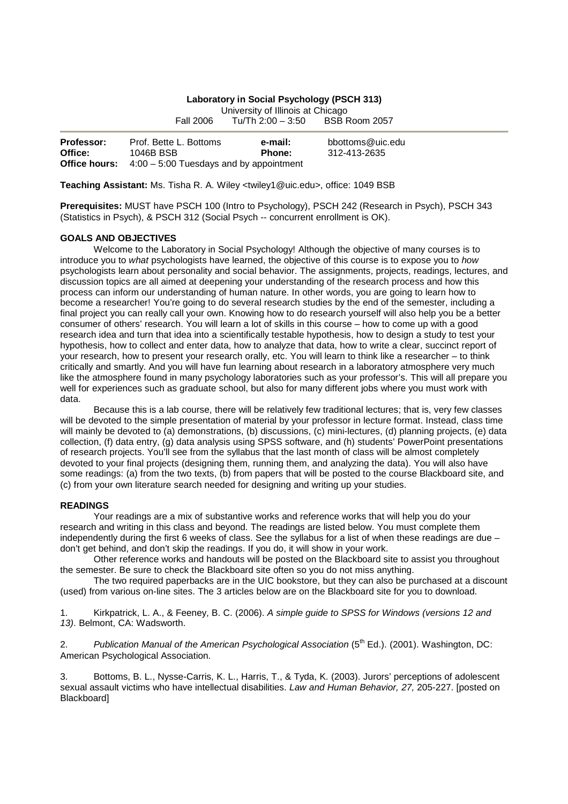## **Laboratory in Social Psychology (PSCH 313)**

University of Illinois at Chicago<br>Tu/Th 2:00 - 3:50 BSB Room 2057

Fall 2006  $Tu/Th$  2:00 – 3:50

| <b>Professor:</b> | Prof. Bette L. Bottoms                                         | e-mail: | bbottoms@uic.edu |
|-------------------|----------------------------------------------------------------|---------|------------------|
| Office:           | 1046B BSB                                                      | Phone:  | 312-413-2635     |
|                   | <b>Office hours:</b> $4:00 - 5:00$ Tuesdays and by appointment |         |                  |

**Teaching Assistant:** Ms. Tisha R. A. Wiley <twiley1@uic.edu>, office: 1049 BSB

**Prerequisites:** MUST have PSCH 100 (Intro to Psychology), PSCH 242 (Research in Psych), PSCH 343 (Statistics in Psych), & PSCH 312 (Social Psych -- concurrent enrollment is OK).

### **GOALS AND OBJECTIVES**

 Welcome to the Laboratory in Social Psychology! Although the objective of many courses is to introduce you to what psychologists have learned, the objective of this course is to expose you to how psychologists learn about personality and social behavior. The assignments, projects, readings, lectures, and discussion topics are all aimed at deepening your understanding of the research process and how this process can inform our understanding of human nature. In other words, you are going to learn how to become a researcher! You're going to do several research studies by the end of the semester, including a final project you can really call your own. Knowing how to do research yourself will also help you be a better consumer of others' research. You will learn a lot of skills in this course – how to come up with a good research idea and turn that idea into a scientifically testable hypothesis, how to design a study to test your hypothesis, how to collect and enter data, how to analyze that data, how to write a clear, succinct report of your research, how to present your research orally, etc. You will learn to think like a researcher – to think critically and smartly. And you will have fun learning about research in a laboratory atmosphere very much like the atmosphere found in many psychology laboratories such as your professor's. This will all prepare you well for experiences such as graduate school, but also for many different jobs where you must work with data.

 Because this is a lab course, there will be relatively few traditional lectures; that is, very few classes will be devoted to the simple presentation of material by your professor in lecture format. Instead, class time will mainly be devoted to (a) demonstrations, (b) discussions, (c) mini-lectures, (d) planning projects, (e) data collection, (f) data entry, (g) data analysis using SPSS software, and (h) students' PowerPoint presentations of research projects. You'll see from the syllabus that the last month of class will be almost completely devoted to your final projects (designing them, running them, and analyzing the data). You will also have some readings: (a) from the two texts, (b) from papers that will be posted to the course Blackboard site, and (c) from your own literature search needed for designing and writing up your studies.

### **READINGS**

 Your readings are a mix of substantive works and reference works that will help you do your research and writing in this class and beyond. The readings are listed below. You must complete them independently during the first 6 weeks of class. See the syllabus for a list of when these readings are due – don't get behind, and don't skip the readings. If you do, it will show in your work.

 Other reference works and handouts will be posted on the Blackboard site to assist you throughout the semester. Be sure to check the Blackboard site often so you do not miss anything.

 The two required paperbacks are in the UIC bookstore, but they can also be purchased at a discount (used) from various on-line sites. The 3 articles below are on the Blackboard site for you to download.

1. Kirkpatrick, L. A., & Feeney, B. C. (2006). A simple guide to SPSS for Windows (versions 12 and 13). Belmont, CA: Wadsworth.

2. Publication Manual of the American Psychological Association (5<sup>th</sup> Ed.). (2001). Washington, DC: American Psychological Association.

3. Bottoms, B. L., Nysse-Carris, K. L., Harris, T., & Tyda, K. (2003). Jurors' perceptions of adolescent sexual assault victims who have intellectual disabilities. Law and Human Behavior, 27, 205-227. [posted on Blackboard]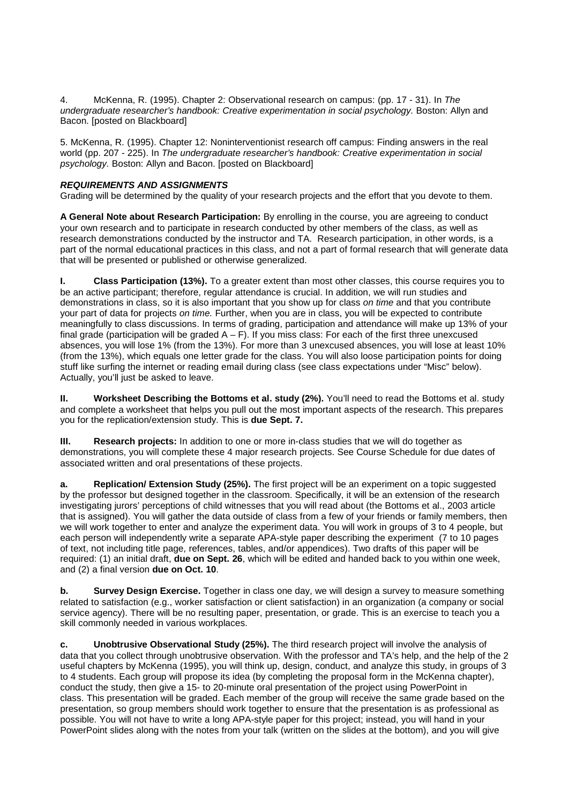4. McKenna, R. (1995). Chapter 2: Observational research on campus: (pp. 17 - 31). In The undergraduate researcher's handbook: Creative experimentation in social psychology. Boston: Allyn and Bacon. [posted on Blackboard]

5. McKenna, R. (1995). Chapter 12: Noninterventionist research off campus: Finding answers in the real world (pp. 207 - 225). In The undergraduate researcher's handbook: Creative experimentation in social psychology. Boston: Allyn and Bacon. [posted on Blackboard]

# **REQUIREMENTS AND ASSIGNMENTS**

Grading will be determined by the quality of your research projects and the effort that you devote to them.

**A General Note about Research Participation:** By enrolling in the course, you are agreeing to conduct your own research and to participate in research conducted by other members of the class, as well as research demonstrations conducted by the instructor and TA. Research participation, in other words, is a part of the normal educational practices in this class, and not a part of formal research that will generate data that will be presented or published or otherwise generalized.

**I. Class Participation (13%).** To a greater extent than most other classes, this course requires you to be an active participant; therefore, regular attendance is crucial. In addition, we will run studies and demonstrations in class, so it is also important that you show up for class on time and that you contribute your part of data for projects on time. Further, when you are in class, you will be expected to contribute meaningfully to class discussions. In terms of grading, participation and attendance will make up 13% of your final grade (participation will be graded  $A - F$ ). If you miss class: For each of the first three unexcused absences, you will lose 1% (from the 13%). For more than 3 unexcused absences, you will lose at least 10% (from the 13%), which equals one letter grade for the class. You will also loose participation points for doing stuff like surfing the internet or reading email during class (see class expectations under "Misc" below). Actually, you'll just be asked to leave.

**II.** Worksheet Describing the Bottoms et al. study (2%). You'll need to read the Bottoms et al. study and complete a worksheet that helps you pull out the most important aspects of the research. This prepares you for the replication/extension study. This is **due Sept. 7.**

**III.** Research projects: In addition to one or more in-class studies that we will do together as demonstrations, you will complete these 4 major research projects. See Course Schedule for due dates of associated written and oral presentations of these projects.

**a. Replication/ Extension Study (25%).** The first project will be an experiment on a topic suggested by the professor but designed together in the classroom. Specifically, it will be an extension of the research investigating jurors' perceptions of child witnesses that you will read about (the Bottoms et al., 2003 article that is assigned). You will gather the data outside of class from a few of your friends or family members, then we will work together to enter and analyze the experiment data. You will work in groups of 3 to 4 people, but each person will independently write a separate APA-style paper describing the experiment (7 to 10 pages of text, not including title page, references, tables, and/or appendices). Two drafts of this paper will be required: (1) an initial draft, **due on Sept. 26**, which will be edited and handed back to you within one week, and (2) a final version **due on Oct. 10**.

**b.** Survey Design Exercise. Together in class one day, we will design a survey to measure something related to satisfaction (e.g., worker satisfaction or client satisfaction) in an organization (a company or social service agency). There will be no resulting paper, presentation, or grade. This is an exercise to teach you a skill commonly needed in various workplaces.

**c. Unobtrusive Observational Study (25%).** The third research project will involve the analysis of data that you collect through unobtrusive observation. With the professor and TA's help, and the help of the 2 useful chapters by McKenna (1995), you will think up, design, conduct, and analyze this study, in groups of 3 to 4 students. Each group will propose its idea (by completing the proposal form in the McKenna chapter), conduct the study, then give a 15- to 20-minute oral presentation of the project using PowerPoint in class. This presentation will be graded. Each member of the group will receive the same grade based on the presentation, so group members should work together to ensure that the presentation is as professional as possible. You will not have to write a long APA-style paper for this project; instead, you will hand in your PowerPoint slides along with the notes from your talk (written on the slides at the bottom), and you will give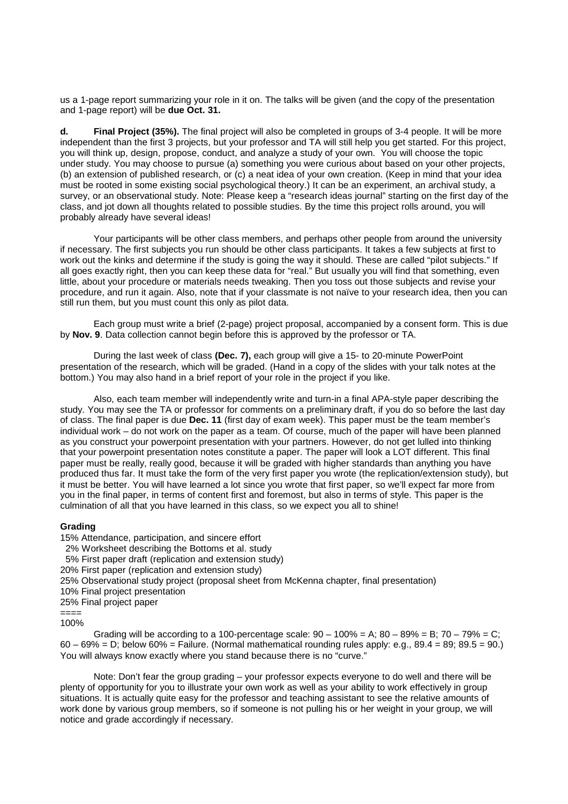us a 1-page report summarizing your role in it on. The talks will be given (and the copy of the presentation and 1-page report) will be **due Oct. 31.**

**d. Final Project (35%).** The final project will also be completed in groups of 3-4 people. It will be more independent than the first 3 projects, but your professor and TA will still help you get started. For this project, you will think up, design, propose, conduct, and analyze a study of your own. You will choose the topic under study. You may choose to pursue (a) something you were curious about based on your other projects, (b) an extension of published research, or (c) a neat idea of your own creation. (Keep in mind that your idea must be rooted in some existing social psychological theory.) It can be an experiment, an archival study, a survey, or an observational study. Note: Please keep a "research ideas journal" starting on the first day of the class, and jot down all thoughts related to possible studies. By the time this project rolls around, you will probably already have several ideas!

 Your participants will be other class members, and perhaps other people from around the university if necessary. The first subjects you run should be other class participants. It takes a few subjects at first to work out the kinks and determine if the study is going the way it should. These are called "pilot subjects." If all goes exactly right, then you can keep these data for "real." But usually you will find that something, even little, about your procedure or materials needs tweaking. Then you toss out those subjects and revise your procedure, and run it again. Also, note that if your classmate is not naïve to your research idea, then you can still run them, but you must count this only as pilot data.

 Each group must write a brief (2-page) project proposal, accompanied by a consent form. This is due by **Nov. 9**. Data collection cannot begin before this is approved by the professor or TA.

 During the last week of class **(Dec. 7),** each group will give a 15- to 20-minute PowerPoint presentation of the research, which will be graded. (Hand in a copy of the slides with your talk notes at the bottom.) You may also hand in a brief report of your role in the project if you like.

 Also, each team member will independently write and turn-in a final APA-style paper describing the study. You may see the TA or professor for comments on a preliminary draft, if you do so before the last day of class. The final paper is due **Dec. 11** (first day of exam week). This paper must be the team member's individual work – do not work on the paper as a team. Of course, much of the paper will have been planned as you construct your powerpoint presentation with your partners. However, do not get lulled into thinking that your powerpoint presentation notes constitute a paper. The paper will look a LOT different. This final paper must be really, really good, because it will be graded with higher standards than anything you have produced thus far. It must take the form of the very first paper you wrote (the replication/extension study), but it must be better. You will have learned a lot since you wrote that first paper, so we'll expect far more from you in the final paper, in terms of content first and foremost, but also in terms of style. This paper is the culmination of all that you have learned in this class, so we expect you all to shine!

## **Grading**

15% Attendance, participation, and sincere effort

- 2% Worksheet describing the Bottoms et al. study
- 5% First paper draft (replication and extension study)
- 20% First paper (replication and extension study)
- 25% Observational study project (proposal sheet from McKenna chapter, final presentation)
- 10% Final project presentation
- 25% Final project paper

==== 100%

Grading will be according to a 100-percentage scale:  $90 - 100\% = A$ ;  $80 - 89\% = B$ ;  $70 - 79\% = C$ ; 60 – 69% = D; below 60% = Failure. (Normal mathematical rounding rules apply: e.g., 89.4 = 89; 89.5 = 90.) You will always know exactly where you stand because there is no "curve."

Note: Don't fear the group grading – your professor expects everyone to do well and there will be plenty of opportunity for you to illustrate your own work as well as your ability to work effectively in group situations. It is actually quite easy for the professor and teaching assistant to see the relative amounts of work done by various group members, so if someone is not pulling his or her weight in your group, we will notice and grade accordingly if necessary.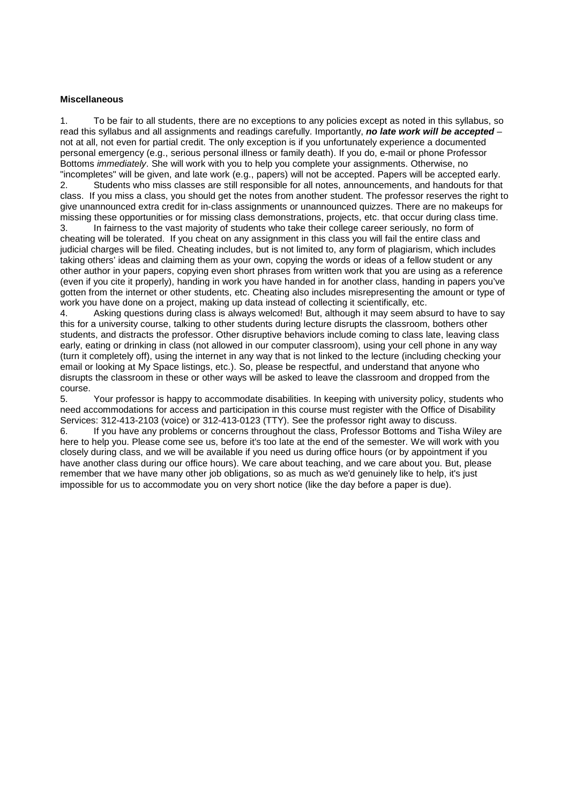### **Miscellaneous**

1. To be fair to all students, there are no exceptions to any policies except as noted in this syllabus, so read this syllabus and all assignments and readings carefully. Importantly, **no late work will be accepted** – not at all, not even for partial credit. The only exception is if you unfortunately experience a documented personal emergency (e.g., serious personal illness or family death). If you do, e-mail or phone Professor Bottoms *immediately*. She will work with you to help you complete your assignments. Otherwise, no "incompletes" will be given, and late work (e.g., papers) will not be accepted. Papers will be accepted early. 2. Students who miss classes are still responsible for all notes, announcements, and handouts for that

class. If you miss a class, you should get the notes from another student. The professor reserves the right to give unannounced extra credit for in-class assignments or unannounced quizzes. There are no makeups for missing these opportunities or for missing class demonstrations, projects, etc. that occur during class time.

3. In fairness to the vast majority of students who take their college career seriously, no form of cheating will be tolerated. If you cheat on any assignment in this class you will fail the entire class and judicial charges will be filed. Cheating includes, but is not limited to, any form of plagiarism, which includes taking others' ideas and claiming them as your own, copying the words or ideas of a fellow student or any other author in your papers, copying even short phrases from written work that you are using as a reference (even if you cite it properly), handing in work you have handed in for another class, handing in papers you've gotten from the internet or other students, etc. Cheating also includes misrepresenting the amount or type of work you have done on a project, making up data instead of collecting it scientifically, etc.

4. Asking questions during class is always welcomed! But, although it may seem absurd to have to say this for a university course, talking to other students during lecture disrupts the classroom, bothers other students, and distracts the professor. Other disruptive behaviors include coming to class late, leaving class early, eating or drinking in class (not allowed in our computer classroom), using your cell phone in any way (turn it completely off), using the internet in any way that is not linked to the lecture (including checking your email or looking at My Space listings, etc.). So, please be respectful, and understand that anyone who disrupts the classroom in these or other ways will be asked to leave the classroom and dropped from the course.

5. Your professor is happy to accommodate disabilities. In keeping with university policy, students who need accommodations for access and participation in this course must register with the Office of Disability Services: 312-413-2103 (voice) or 312-413-0123 (TTY). See the professor right away to discuss.

6. If you have any problems or concerns throughout the class, Professor Bottoms and Tisha Wiley are here to help you. Please come see us, before it's too late at the end of the semester. We will work with you closely during class, and we will be available if you need us during office hours (or by appointment if you have another class during our office hours). We care about teaching, and we care about you. But, please remember that we have many other job obligations, so as much as we'd genuinely like to help, it's just impossible for us to accommodate you on very short notice (like the day before a paper is due).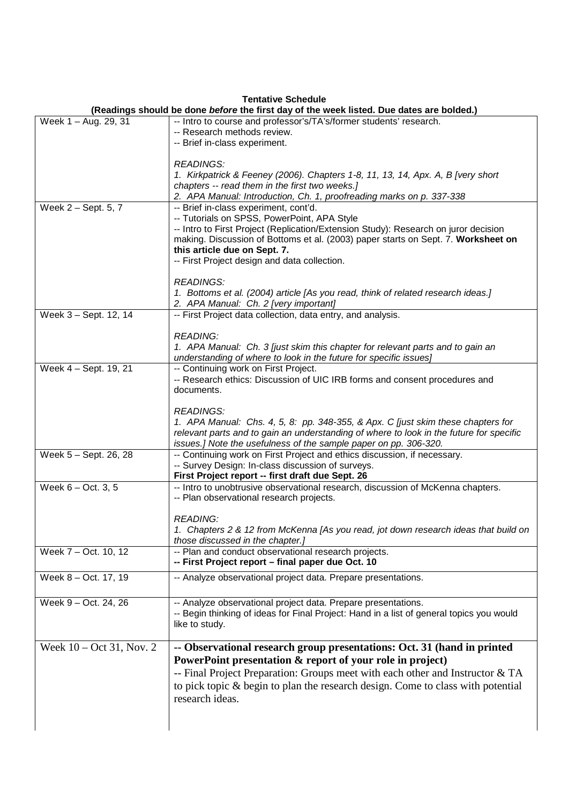# **Tentative Schedule**

|                                     | Teritative Scriedule<br>(Readings should be done before the first day of the week listed. Due dates are bolded.)                                                                                                                                                                                                                                 |
|-------------------------------------|--------------------------------------------------------------------------------------------------------------------------------------------------------------------------------------------------------------------------------------------------------------------------------------------------------------------------------------------------|
| Week 1 - Aug. 29, 31                | -- Intro to course and professor's/TA's/former students' research.<br>-- Research methods review.<br>-- Brief in-class experiment.                                                                                                                                                                                                               |
|                                     | <b>READINGS:</b><br>1. Kirkpatrick & Feeney (2006). Chapters 1-8, 11, 13, 14, Apx. A, B [very short<br>chapters -- read them in the first two weeks.]<br>2. APA Manual: Introduction, Ch. 1, proofreading marks on p. 337-338                                                                                                                    |
| Week 2 - Sept. 5, 7                 | -- Brief in-class experiment, cont'd.<br>-- Tutorials on SPSS, PowerPoint, APA Style<br>-- Intro to First Project (Replication/Extension Study): Research on juror decision<br>making. Discussion of Bottoms et al. (2003) paper starts on Sept. 7. Worksheet on<br>this article due on Sept. 7.<br>-- First Project design and data collection. |
|                                     | <b>READINGS:</b><br>1. Bottoms et al. (2004) article [As you read, think of related research ideas.]<br>2. APA Manual: Ch. 2 [very important]                                                                                                                                                                                                    |
| Week 3 - Sept. 12, 14               | -- First Project data collection, data entry, and analysis.<br><b>READING:</b><br>1. APA Manual: Ch. 3 [just skim this chapter for relevant parts and to gain an                                                                                                                                                                                 |
| Week 4 - Sept. 19, 21               | understanding of where to look in the future for specific issues]<br>-- Continuing work on First Project.<br>-- Research ethics: Discussion of UIC IRB forms and consent procedures and<br>documents.                                                                                                                                            |
|                                     | <b>READINGS:</b><br>1. APA Manual: Chs. 4, 5, 8: pp. 348-355, & Apx. C [just skim these chapters for<br>relevant parts and to gain an understanding of where to look in the future for specific<br>issues.] Note the usefulness of the sample paper on pp. 306-320.                                                                              |
| Week 5 - Sept. 26, 28               | -- Continuing work on First Project and ethics discussion, if necessary.<br>-- Survey Design: In-class discussion of surveys.<br>First Project report -- first draft due Sept. 26                                                                                                                                                                |
| Week $6 - Oct. 3, 5$                | -- Intro to unobtrusive observational research, discussion of McKenna chapters.<br>-- Plan observational research projects.<br><i>READING:</i><br>1. Chapters 2 & 12 from McKenna [As you read, jot down research ideas that build on                                                                                                            |
| Week 7 - Oct. 10, 12                | those discussed in the chapter.]<br>-- Plan and conduct observational research projects.<br>-- First Project report - final paper due Oct. 10                                                                                                                                                                                                    |
| Week 8 - Oct. 17, 19                | -- Analyze observational project data. Prepare presentations.                                                                                                                                                                                                                                                                                    |
| Week 9 - Oct. 24, 26                | -- Analyze observational project data. Prepare presentations.<br>-- Begin thinking of ideas for Final Project: Hand in a list of general topics you would<br>like to study.                                                                                                                                                                      |
| Week $10 - \text{Oct } 31$ , Nov. 2 | -- Observational research group presentations: Oct. 31 (hand in printed<br>PowerPoint presentation & report of your role in project)<br>-- Final Project Preparation: Groups meet with each other and Instructor & TA<br>to pick topic & begin to plan the research design. Come to class with potential<br>research ideas.                      |